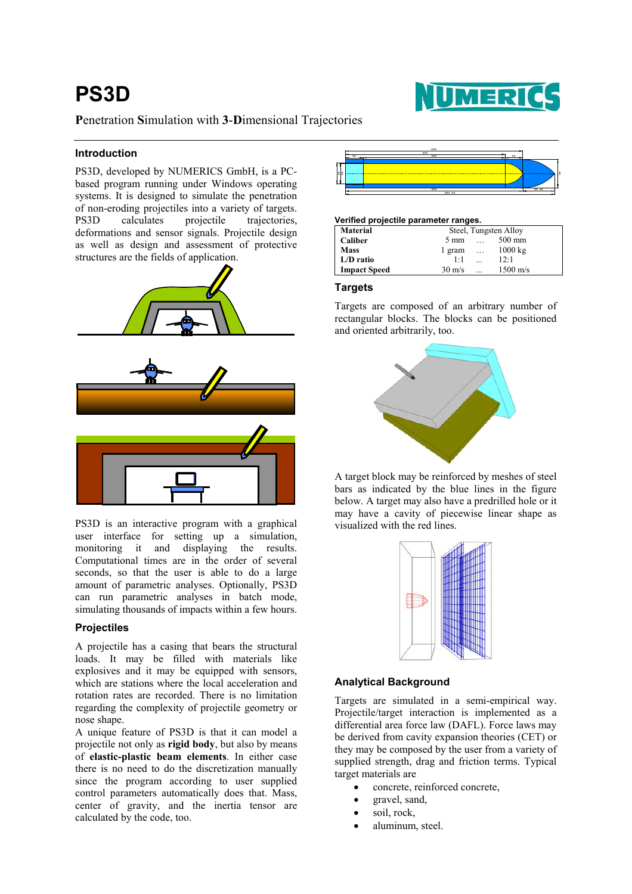# **PS3D**



# **P**enetration **S**imulation with **3**-**D**imensional Trajectories

## **Introduction**

**PS3D, developed by NUMERICS GmbH, is a PC**based program running under Windows operating systems. It is designed to simulate the penetration of non-eroding projectiles into a variety of targets. PS3D calculates projectile trajectories, deformations and sensor signals. Projectile design as well as design and assessment of protective structures are the fields of application.



PS3D is an interactive program with a graphical user interface for setting up a simulation, monitoring it and displaying the results. Computational times are in the order of several seconds, so that the user is able to do a large amount of parametric analyses. Optionally, PS3D can run parametric analyses in batch mode, simulating thousands of impacts within a few hours.

# **Projectiles**

A projectile has a casing that bears the structural loads. It may be filled with materials like explosives and it may be equipped with sensors, which are stations where the local acceleration and rotation rates are recorded. There is no limitation regarding the complexity of projectile geometry or nose shape.

A unique feature of PS3D is that it can model a projectile not only as **rigid body**, but also by means of **elastic-plastic beam elements**. In either case there is no need to do the discretization manually since the program according to user supplied control parameters automatically does that. Mass, center of gravity, and the inertia tensor are calculated by the code, too.



#### **Verified projectile parameter ranges.**

| <b>Material</b>     | Steel, Tungsten Alloy |           |                    |
|---------------------|-----------------------|-----------|--------------------|
| Caliber             | $5 \text{ mm}$        |           | 500 mm             |
| <b>Mass</b>         | 1 gram                | $\cdots$  | $1000 \text{ kg}$  |
| $L/D$ ratio         | $1-1$                 | $\ddotsc$ | 12:1               |
| <b>Impact Speed</b> | $30 \text{ m/s}$      | $\ddotsc$ | $1500 \text{ m/s}$ |

#### **Targets**

Targets are composed of an arbitrary number of rectangular blocks. The blocks can be positioned and oriented arbitrarily, too.



A target block may be reinforced by meshes of steel bars as indicated by the blue lines in the figure below. A target may also have a predrilled hole or it may have a cavity of piecewise linear shape as visualized with the red lines.



#### **Analytical Background**

Targets are simulated in a semi-empirical way. Projectile/target interaction is implemented as a differential area force law (DAFL). Force laws may be derived from cavity expansion theories (CET) or they may be composed by the user from a variety of supplied strength, drag and friction terms. Typical target materials are

- concrete, reinforced concrete,
- gravel, sand,
- soil, rock,
- aluminum, steel.